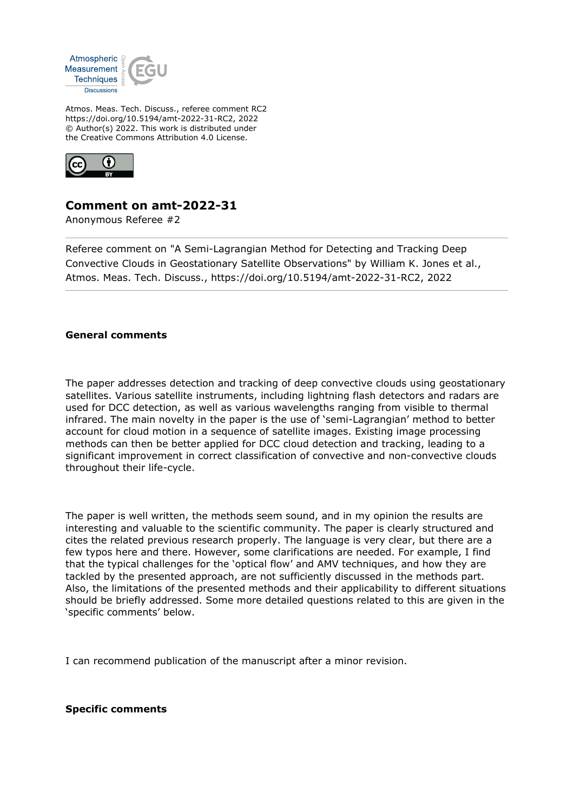

Atmos. Meas. Tech. Discuss., referee comment RC2 https://doi.org/10.5194/amt-2022-31-RC2, 2022 © Author(s) 2022. This work is distributed under the Creative Commons Attribution 4.0 License.



## **Comment on amt-2022-31**

Anonymous Referee #2

Referee comment on "A Semi-Lagrangian Method for Detecting and Tracking Deep Convective Clouds in Geostationary Satellite Observations" by William K. Jones et al., Atmos. Meas. Tech. Discuss., https://doi.org/10.5194/amt-2022-31-RC2, 2022

## **General comments**

The paper addresses detection and tracking of deep convective clouds using geostationary satellites. Various satellite instruments, including lightning flash detectors and radars are used for DCC detection, as well as various wavelengths ranging from visible to thermal infrared. The main novelty in the paper is the use of 'semi-Lagrangian' method to better account for cloud motion in a sequence of satellite images. Existing image processing methods can then be better applied for DCC cloud detection and tracking, leading to a significant improvement in correct classification of convective and non-convective clouds throughout their life-cycle.

The paper is well written, the methods seem sound, and in my opinion the results are interesting and valuable to the scientific community. The paper is clearly structured and cites the related previous research properly. The language is very clear, but there are a few typos here and there. However, some clarifications are needed. For example, I find that the typical challenges for the 'optical flow' and AMV techniques, and how they are tackled by the presented approach, are not sufficiently discussed in the methods part. Also, the limitations of the presented methods and their applicability to different situations should be briefly addressed. Some more detailed questions related to this are given in the 'specific comments' below.

I can recommend publication of the manuscript after a minor revision.

## **Specific comments**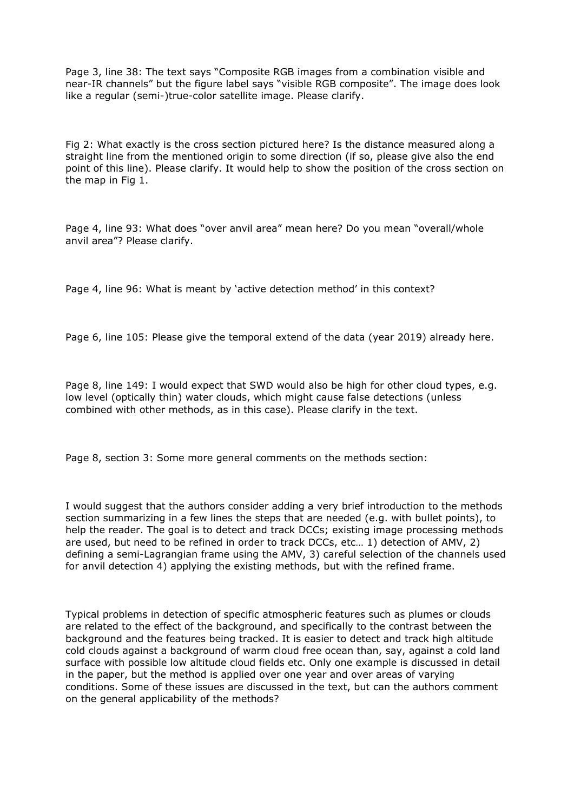Page 3, line 38: The text says "Composite RGB images from a combination visible and near-IR channels" but the figure label says "visible RGB composite". The image does look like a regular (semi-)true-color satellite image. Please clarify.

Fig 2: What exactly is the cross section pictured here? Is the distance measured along a straight line from the mentioned origin to some direction (if so, please give also the end point of this line). Please clarify. It would help to show the position of the cross section on the map in Fig 1.

Page 4, line 93: What does "over anvil area" mean here? Do you mean "overall/whole anvil area"? Please clarify.

Page 4, line 96: What is meant by 'active detection method' in this context?

Page 6, line 105: Please give the temporal extend of the data (year 2019) already here.

Page 8, line 149: I would expect that SWD would also be high for other cloud types, e.g. low level (optically thin) water clouds, which might cause false detections (unless combined with other methods, as in this case). Please clarify in the text.

Page 8, section 3: Some more general comments on the methods section:

I would suggest that the authors consider adding a very brief introduction to the methods section summarizing in a few lines the steps that are needed (e.g. with bullet points), to help the reader. The goal is to detect and track DCCs; existing image processing methods are used, but need to be refined in order to track DCCs, etc… 1) detection of AMV, 2) defining a semi-Lagrangian frame using the AMV, 3) careful selection of the channels used for anvil detection 4) applying the existing methods, but with the refined frame.

Typical problems in detection of specific atmospheric features such as plumes or clouds are related to the effect of the background, and specifically to the contrast between the background and the features being tracked. It is easier to detect and track high altitude cold clouds against a background of warm cloud free ocean than, say, against a cold land surface with possible low altitude cloud fields etc. Only one example is discussed in detail in the paper, but the method is applied over one year and over areas of varying conditions. Some of these issues are discussed in the text, but can the authors comment on the general applicability of the methods?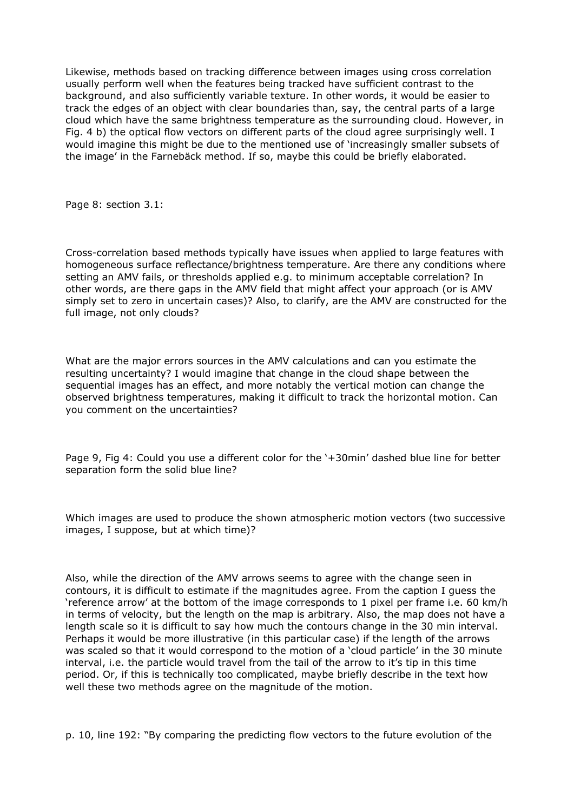Likewise, methods based on tracking difference between images using cross correlation usually perform well when the features being tracked have sufficient contrast to the background, and also sufficiently variable texture. In other words, it would be easier to track the edges of an object with clear boundaries than, say, the central parts of a large cloud which have the same brightness temperature as the surrounding cloud. However, in Fig. 4 b) the optical flow vectors on different parts of the cloud agree surprisingly well. I would imagine this might be due to the mentioned use of 'increasingly smaller subsets of the image' in the Farnebäck method. If so, maybe this could be briefly elaborated.

Page 8: section 3.1:

Cross-correlation based methods typically have issues when applied to large features with homogeneous surface reflectance/brightness temperature. Are there any conditions where setting an AMV fails, or thresholds applied e.g. to minimum acceptable correlation? In other words, are there gaps in the AMV field that might affect your approach (or is AMV simply set to zero in uncertain cases)? Also, to clarify, are the AMV are constructed for the full image, not only clouds?

What are the major errors sources in the AMV calculations and can you estimate the resulting uncertainty? I would imagine that change in the cloud shape between the sequential images has an effect, and more notably the vertical motion can change the observed brightness temperatures, making it difficult to track the horizontal motion. Can you comment on the uncertainties?

Page 9, Fig 4: Could you use a different color for the '+30min' dashed blue line for better separation form the solid blue line?

Which images are used to produce the shown atmospheric motion vectors (two successive images, I suppose, but at which time)?

Also, while the direction of the AMV arrows seems to agree with the change seen in contours, it is difficult to estimate if the magnitudes agree. From the caption I guess the 'reference arrow' at the bottom of the image corresponds to 1 pixel per frame i.e. 60 km/h in terms of velocity, but the length on the map is arbitrary. Also, the map does not have a length scale so it is difficult to say how much the contours change in the 30 min interval. Perhaps it would be more illustrative (in this particular case) if the length of the arrows was scaled so that it would correspond to the motion of a 'cloud particle' in the 30 minute interval, i.e. the particle would travel from the tail of the arrow to it's tip in this time period. Or, if this is technically too complicated, maybe briefly describe in the text how well these two methods agree on the magnitude of the motion.

p. 10, line 192: "By comparing the predicting flow vectors to the future evolution of the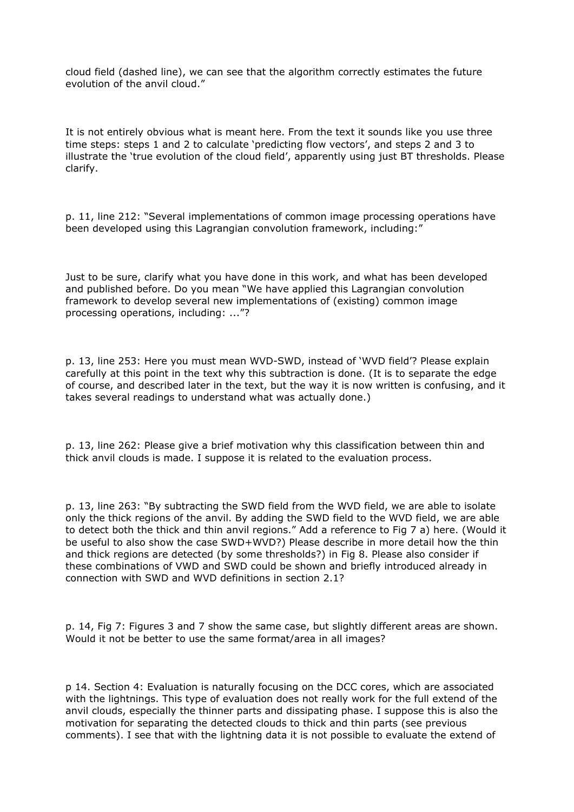cloud field (dashed line), we can see that the algorithm correctly estimates the future evolution of the anvil cloud."

It is not entirely obvious what is meant here. From the text it sounds like you use three time steps: steps 1 and 2 to calculate 'predicting flow vectors', and steps 2 and 3 to illustrate the 'true evolution of the cloud field', apparently using just BT thresholds. Please clarify.

p. 11, line 212: "Several implementations of common image processing operations have been developed using this Lagrangian convolution framework, including:"

Just to be sure, clarify what you have done in this work, and what has been developed and published before. Do you mean "We have applied this Lagrangian convolution framework to develop several new implementations of (existing) common image processing operations, including: ..."?

p. 13, line 253: Here you must mean WVD-SWD, instead of 'WVD field'? Please explain carefully at this point in the text why this subtraction is done. (It is to separate the edge of course, and described later in the text, but the way it is now written is confusing, and it takes several readings to understand what was actually done.)

p. 13, line 262: Please give a brief motivation why this classification between thin and thick anvil clouds is made. I suppose it is related to the evaluation process.

p. 13, line 263: "By subtracting the SWD field from the WVD field, we are able to isolate only the thick regions of the anvil. By adding the SWD field to the WVD field, we are able to detect both the thick and thin anvil regions." Add a reference to Fig 7 a) here. (Would it be useful to also show the case SWD+WVD?) Please describe in more detail how the thin and thick regions are detected (by some thresholds?) in Fig 8. Please also consider if these combinations of VWD and SWD could be shown and briefly introduced already in connection with SWD and WVD definitions in section 2.1?

p. 14, Fig 7: Figures 3 and 7 show the same case, but slightly different areas are shown. Would it not be better to use the same format/area in all images?

p 14. Section 4: Evaluation is naturally focusing on the DCC cores, which are associated with the lightnings. This type of evaluation does not really work for the full extend of the anvil clouds, especially the thinner parts and dissipating phase. I suppose this is also the motivation for separating the detected clouds to thick and thin parts (see previous comments). I see that with the lightning data it is not possible to evaluate the extend of